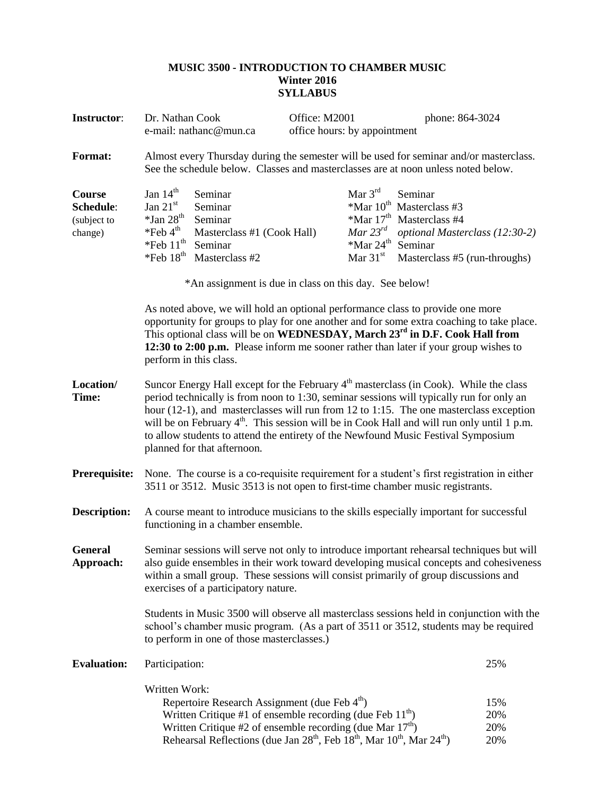## **MUSIC 3500 - INTRODUCTION TO CHAMBER MUSIC Winter 2016 SYLLABUS**

| <b>Instructor:</b>                            | Dr. Nathan Cook<br>e-mail: nathanc@mun.ca                                                                                                                                                                                                                                                                                                                                                                                                                                                                                                              |                                                                                                                                                                                                                                                                                    |  | Office: M2001<br>office hours: by appointment                                                    |                                                                                                                                                    | phone: 864-3024          |  |
|-----------------------------------------------|--------------------------------------------------------------------------------------------------------------------------------------------------------------------------------------------------------------------------------------------------------------------------------------------------------------------------------------------------------------------------------------------------------------------------------------------------------------------------------------------------------------------------------------------------------|------------------------------------------------------------------------------------------------------------------------------------------------------------------------------------------------------------------------------------------------------------------------------------|--|--------------------------------------------------------------------------------------------------|----------------------------------------------------------------------------------------------------------------------------------------------------|--------------------------|--|
| <b>Format:</b>                                | Almost every Thursday during the semester will be used for seminar and/or masterclass.<br>See the schedule below. Classes and masterclasses are at noon unless noted below.                                                                                                                                                                                                                                                                                                                                                                            |                                                                                                                                                                                                                                                                                    |  |                                                                                                  |                                                                                                                                                    |                          |  |
| Course<br>Schedule:<br>(subject to<br>change) | Jan $14th$<br>Jan $21st$<br>$*$ Jan 28 <sup>th</sup><br>$*$ Feb 4 <sup>th</sup><br>$*$ Feb $11th$<br>$*$ Feb $18th$                                                                                                                                                                                                                                                                                                                                                                                                                                    | Seminar<br>Seminar<br>Seminar<br>Masterclass #1 (Cook Hall)<br>Seminar<br>Masterclass #2<br>*An assignment is due in class on this day. See below!                                                                                                                                 |  | Mar $3rd$<br>$*$ Mar 10 <sup>th</sup><br>Mar $23^{rd}$<br>$*$ Mar 24 <sup>th</sup><br>Mar $31st$ | Seminar<br>Masterclass #3<br>$*$ Mar 17 <sup>th</sup> Masterclass #4<br>optional Masterclass (12:30-2)<br>Seminar<br>Masterclass #5 (run-throughs) |                          |  |
|                                               | As noted above, we will hold an optional performance class to provide one more<br>opportunity for groups to play for one another and for some extra coaching to take place.<br>This optional class will be on WEDNESDAY, March 23 <sup>rd</sup> in D.F. Cook Hall from<br>12:30 to 2:00 p.m. Please inform me sooner rather than later if your group wishes to<br>perform in this class.                                                                                                                                                               |                                                                                                                                                                                                                                                                                    |  |                                                                                                  |                                                                                                                                                    |                          |  |
| Location/<br>Time:                            | Suncor Energy Hall except for the February $4th$ masterclass (in Cook). While the class<br>period technically is from noon to 1:30, seminar sessions will typically run for only an<br>hour (12-1), and masterclasses will run from 12 to 1:15. The one masterclass exception<br>will be on February 4 <sup>th</sup> . This session will be in Cook Hall and will run only until 1 p.m.<br>to allow students to attend the entirety of the Newfound Music Festival Symposium<br>planned for that afternoon.                                            |                                                                                                                                                                                                                                                                                    |  |                                                                                                  |                                                                                                                                                    |                          |  |
| <b>Prerequisite:</b>                          | None. The course is a co-requisite requirement for a student's first registration in either<br>3511 or 3512. Music 3513 is not open to first-time chamber music registrants.                                                                                                                                                                                                                                                                                                                                                                           |                                                                                                                                                                                                                                                                                    |  |                                                                                                  |                                                                                                                                                    |                          |  |
| <b>Description:</b>                           | A course meant to introduce musicians to the skills especially important for successful<br>functioning in a chamber ensemble.                                                                                                                                                                                                                                                                                                                                                                                                                          |                                                                                                                                                                                                                                                                                    |  |                                                                                                  |                                                                                                                                                    |                          |  |
| <b>General</b><br>Approach:                   | Seminar sessions will serve not only to introduce important rehearsal techniques but will<br>also guide ensembles in their work toward developing musical concepts and cohesiveness<br>within a small group. These sessions will consist primarily of group discussions and<br>exercises of a participatory nature.<br>Students in Music 3500 will observe all masterclass sessions held in conjunction with the<br>school's chamber music program. (As a part of 3511 or 3512, students may be required<br>to perform in one of those masterclasses.) |                                                                                                                                                                                                                                                                                    |  |                                                                                                  |                                                                                                                                                    |                          |  |
|                                               |                                                                                                                                                                                                                                                                                                                                                                                                                                                                                                                                                        |                                                                                                                                                                                                                                                                                    |  |                                                                                                  |                                                                                                                                                    |                          |  |
| <b>Evaluation:</b>                            | Participation:                                                                                                                                                                                                                                                                                                                                                                                                                                                                                                                                         |                                                                                                                                                                                                                                                                                    |  |                                                                                                  |                                                                                                                                                    | 25%                      |  |
|                                               | Written Work:                                                                                                                                                                                                                                                                                                                                                                                                                                                                                                                                          | Repertoire Research Assignment (due Feb 4th)<br>Written Critique #1 of ensemble recording (due Feb $11th$ )<br>Written Critique #2 of ensemble recording (due Mar 17 <sup>th</sup> )<br>Rehearsal Reflections (due Jan $28^{th}$ , Feb $18^{th}$ , Mar $10^{th}$ , Mar $24^{th}$ ) |  |                                                                                                  |                                                                                                                                                    | 15%<br>20%<br>20%<br>20% |  |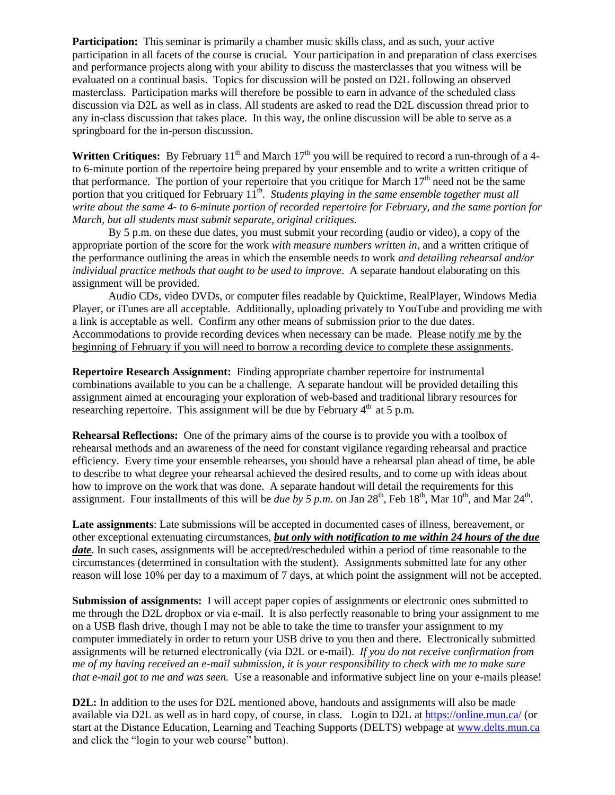**Participation:** This seminar is primarily a chamber music skills class, and as such, your active participation in all facets of the course is crucial. Your participation in and preparation of class exercises and performance projects along with your ability to discuss the masterclasses that you witness will be evaluated on a continual basis. Topics for discussion will be posted on D2L following an observed masterclass. Participation marks will therefore be possible to earn in advance of the scheduled class discussion via D2L as well as in class. All students are asked to read the D2L discussion thread prior to any in-class discussion that takes place. In this way, the online discussion will be able to serve as a springboard for the in-person discussion.

**Written Critiques:** By February  $11^{th}$  and March  $17^{th}$  you will be required to record a run-through of a 4to 6-minute portion of the repertoire being prepared by your ensemble and to write a written critique of that performance. The portion of your repertoire that you critique for March  $17<sup>th</sup>$  need not be the same portion that you critiqued for February  $11^{\text{th}}$ . *Students playing in the same ensemble together must all write about the same 4- to 6-minute portion of recorded repertoire for February, and the same portion for March, but all students must submit separate, original critiques.*

By 5 p.m. on these due dates, you must submit your recording (audio or video), a copy of the appropriate portion of the score for the work *with measure numbers written in*, and a written critique of the performance outlining the areas in which the ensemble needs to work *and detailing rehearsal and/or individual practice methods that ought to be used to improve*. A separate handout elaborating on this assignment will be provided.

Audio CDs, video DVDs, or computer files readable by Quicktime, RealPlayer, Windows Media Player, or iTunes are all acceptable. Additionally, uploading privately to YouTube and providing me with a link is acceptable as well. Confirm any other means of submission prior to the due dates. Accommodations to provide recording devices when necessary can be made. Please notify me by the beginning of February if you will need to borrow a recording device to complete these assignments.

**Repertoire Research Assignment:** Finding appropriate chamber repertoire for instrumental combinations available to you can be a challenge. A separate handout will be provided detailing this assignment aimed at encouraging your exploration of web-based and traditional library resources for researching repertoire. This assignment will be due by February  $4<sup>th</sup>$  at 5 p.m.

**Rehearsal Reflections:** One of the primary aims of the course is to provide you with a toolbox of rehearsal methods and an awareness of the need for constant vigilance regarding rehearsal and practice efficiency. Every time your ensemble rehearses, you should have a rehearsal plan ahead of time, be able to describe to what degree your rehearsal achieved the desired results, and to come up with ideas about how to improve on the work that was done. A separate handout will detail the requirements for this assignment. Four installments of this will be *due by 5 p.m.* on Jan  $28<sup>th</sup>$ , Feb  $18<sup>th</sup>$ , Mar  $10<sup>th</sup>$ , and Mar  $24<sup>th</sup>$ .

**Late assignments**: Late submissions will be accepted in documented cases of illness, bereavement, or other exceptional extenuating circumstances, *but only with notification to me within 24 hours of the due date*. In such cases, assignments will be accepted/rescheduled within a period of time reasonable to the circumstances (determined in consultation with the student). Assignments submitted late for any other reason will lose 10% per day to a maximum of 7 days, at which point the assignment will not be accepted.

**Submission of assignments:** I will accept paper copies of assignments or electronic ones submitted to me through the D2L dropbox or via e-mail. It is also perfectly reasonable to bring your assignment to me on a USB flash drive, though I may not be able to take the time to transfer your assignment to my computer immediately in order to return your USB drive to you then and there. Electronically submitted assignments will be returned electronically (via D2L or e-mail). *If you do not receive confirmation from me of my having received an e-mail submission, it is your responsibility to check with me to make sure that e-mail got to me and was seen.* Use a reasonable and informative subject line on your e-mails please!

**D2L:** In addition to the uses for D2L mentioned above, handouts and assignments will also be made available via D2L as well as in hard copy, of course, in class. Login to D2L at<https://online.mun.ca/> (or start at the Distance Education, Learning and Teaching Supports (DELTS) webpage at [www.delts.mun.ca](http://www.delts.mun.ca/) and click the "login to your web course" button).